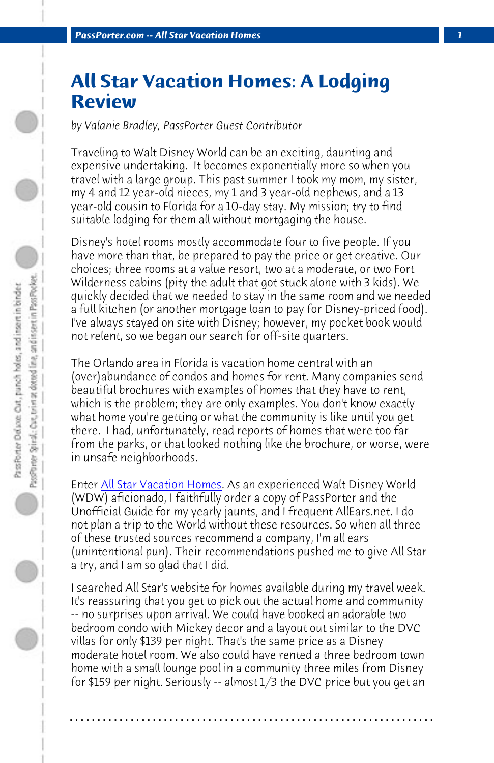*PassPorter.com -- All Star Vacation Homes 1*

## **All Star Vacation Homes: A Lodging Review**

*by Valanie Bradley, PassPorter Guest Contributor*

Traveling to Walt Disney World can be an exciting, daunting and expensive undertaking. It becomes exponentially more so when you travel with a large group. This past summer I took my mom, my sister, my 4 and 12 year-old nieces, my 1 and 3 year-old nephews, and a 13 year-old cousin to Florida for a 10-day stay. My mission; try to find suitable lodging for them all without mortgaging the house.

Disney's hotel rooms mostly accommodate four to five people. If you have [more than that, be prepa](http://www.allstarvacationhomes.com/)red to pay the price or get creative. Our choices; three rooms at a value resort, two at a moderate, or two Fort Wilderness cabins (pity the adult that got stuck alone with 3 kids). We quickly decided that we needed to stay in the same room and we needed a full kitchen (or another mortgage loan to pay for Disney-priced food). I've always stayed on site with Disney; however, my pocket book would not relent, so we began our search for off-site quarters.

The Orlando area in Florida is vacation home central with an (over)abundance of condos and homes for rent. Many companies send beautiful brochures with examples of homes that they have to rent, which is the problem; they are only examples. You don't know exactly what home you're getting or what the community is like until you get there. I had, unfortunately, read reports of homes that were too far from the parks, or that looked nothing like the brochure, or worse, were in unsafe neighborhoods.

Enter All Star Vacation Homes. As an experienced Walt Disney World (WDW) aficionado, I faithfully order a copy of PassPorter and the Unofficial Guide for my yearly jaunts, and I frequent AllEars.net. I do not plan a trip to the World without these resources. So when all three of these trusted sources recommend a company, I'm all ears (unintentional pun). Their recommendations pushed me to give All Star a try, and I am so glad that I did.

I searched All Star's website for homes available during my travel week. It's reassuring that you get to pick out the actual home and community -- no surprises upon arrival. We could have booked an adorable two bedroom condo with Mickey decor and a layout out similar to the DVC villas for only \$139 per night. That's the same price as a Disney moderate hotel room. We also could have rented a three bedroom town home with a small lounge pool in a community three miles from Disney for \$159 per night. Seriously -- almost 1/3 the DVC price but you get an

**. . . . . . . . . . . . . . . . . . . . . . . . . . . . . . . . . . . . . . . . . . . . . . . . . . . . . . . . . . . . . . . . . .**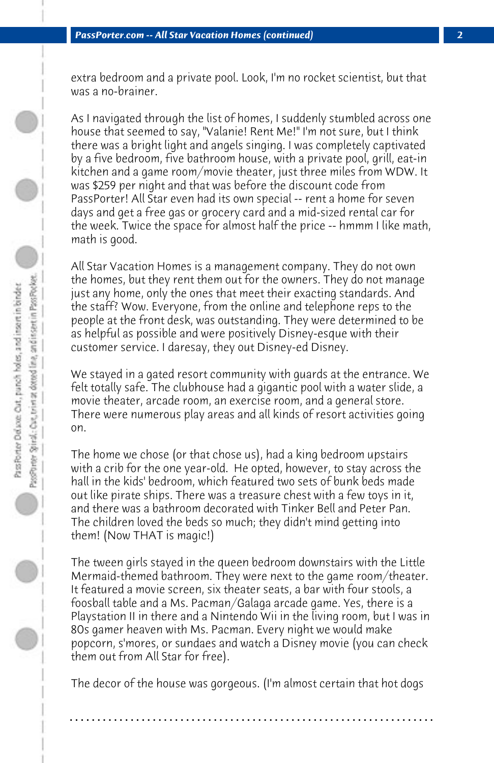extra bedroom and a private pool. Look, I'm no rocket scientist, but that was a no-brainer.

As I navigated through the list of homes, I suddenly stumbled across one house that seemed to say, "Valanie! Rent Me!" I'm not sure, but I think there was a bright light and angels singing. I was completely captivated by a five bedroom, five bathroom house, with a private pool, grill, eat-in kitchen and a game room/movie theater, just three miles from WDW. It was \$259 per night and that was before the discount code from PassPorter! All Star even had its own special -- rent a home for seven days and get a free gas or grocery card and a mid-sized rental car for the week. Twice the space for almost half the price -- hmmm I like math, math is good.

All Star Vacation Homes is a management company. They do not own the homes, but they rent them out for the owners. They do not manage just any home, only the ones that meet their exacting standards. And the staff? Wow. Everyone, from the online and telephone reps to the people at the front desk, was outstanding. They were determined to be as helpful as possible and were positively Disney-esque with their customer service. I daresay, they out Disney-ed Disney.

We stayed in a gated resort community with guards at the entrance. We felt totally safe. The clubhouse had a gigantic pool with a water slide, a movie theater, arcade room, an exercise room, and a general store. There were numerous play areas and all kinds of resort activities going on.

The home we chose (or that chose us), had a king bedroom upstairs with a crib for the one year-old. He opted, however, to stay across the hall in the kids' bedroom, which featured two sets of bunk beds made out like pirate ships. There was a treasure chest with a few toys in it, and there was a bathroom decorated with Tinker Bell and Peter Pan. The children loved the beds so much; they didn't mind getting into them! (Now THAT is magic!)

The tween girls stayed in the queen bedroom downstairs with the Little Mermaid-themed bathroom. They were next to the game room/theater. It featured a movie screen, six theater seats, a bar with four stools, a foosball table and a Ms. Pacman/Galaga arcade game. Yes, there is a Playstation II in there and a Nintendo Wii in the living room, but I was in 80s gamer heaven with Ms. Pacman. Every night we would make popcorn, s'mores, or sundaes and watch a Disney movie (you can check them out from All Star for free).

The decor of the house was gorgeous. (I'm almost certain that hot dogs

**. . . . . . . . . . . . . . . . . . . . . . . . . . . . . . . . . . . . . . . . . . . . . . . . . . . . . . . . . . . . . . . . . .**